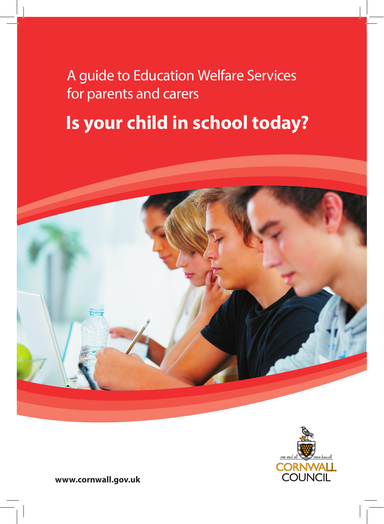A guide to Education Welfare Services for parents and carers

# **Is your child in school today?**





**www.cornwall.gov.uk**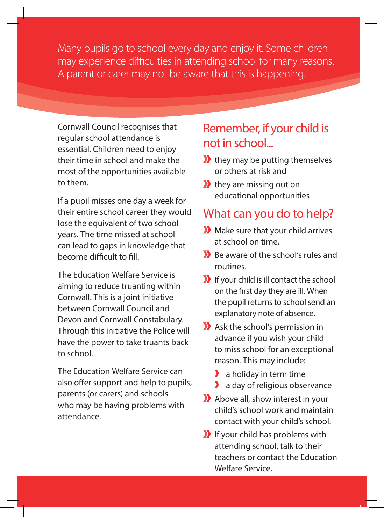Many pupils go to school every day and enjoy it. Some children may experience difficulties in attending school for many reasons. A parent or carer may not be aware that this is happening.

Cornwall Council recognises that regular school attendance is essential. Children need to enjoy their time in school and make the most of the opportunities available to them.

If a pupil misses one day a week for their entire school career they would lose the equivalent of two school years. The time missed at school can lead to gaps in knowledge that become difficult to fill.

The Education Welfare Service is aiming to reduce truanting within Cornwall. This is a joint initiative between Cornwall Council and Devon and Cornwall Constabulary. Through this initiative the Police will have the power to take truants back to school.

The Education Welfare Service can also offer support and help to pupils, parents (or carers) and schools who may be having problems with attendance.

#### Remember, if your child is not in school...

- $\lambda$  they may be putting themselves or others at risk and
- $\lambda$  they are missing out on educational opportunities

#### What can you do to help?

- Make sure that your child arrives at school on time.
- Be aware of the school's rules and routines.
- If your child is ill contact the school on the first day they are ill. When the pupil returns to school send an explanatory note of absence.
- Ask the school's permission in advance if you wish your child to miss school for an exceptional reason. This may include:
	- $\lambda$  a holiday in term time
	- **a** day of religious observance
- Above all, show interest in your child's school work and maintain contact with your child's school.
- If your child has problems with attending school, talk to their teachers or contact the Education Welfare Service.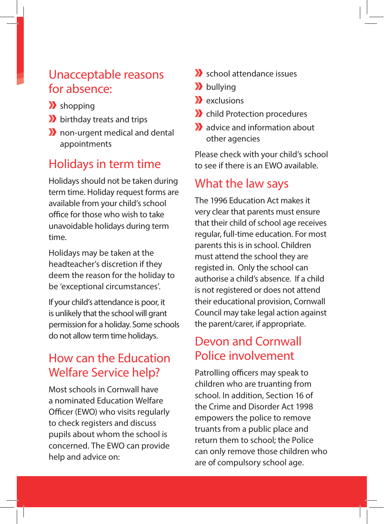#### Unacceptable reasons for absence:

- $\sum$  shopping
- **b** birthday treats and trips
- **X** non-urgent medical and dental appointments

# Holidays in term time

Holidays should not be taken during term time. Holiday request forms are available from your child's school office for those who wish to take unavoidable holidays during term time.

Holidays may be taken at the headteacher's discretion if they deem the reason for the holiday to be 'exceptional circumstances'.

If your child's attendance is poor, it is unlikely that the school will grant permission for a holiday. Some schools do not allow term time holidays.

## How can the Education Welfare Service help?

Most schools in Cornwall have a nominated Education Welfare Officer (EWO) who visits regularly to check registers and discuss pupils about whom the school is concerned. The EWO can provide help and advice on:

- school attendance issues
- **X** bullying
- $\sum$  exclusions
- **X** child Protection procedures
- **X** advice and information about other agencies

Please check with your child's school to see if there is an EWO available.

#### What the law says

The 1996 Education Act makes it very clear that parents must ensure that their child of school age receives regular, full-time education. For most parents this is in school. Children must attend the school they are registed in. Only the school can authorise a child's absence. If a child is not registered or does not attend their educational provision, Cornwall Council may take legal action against the parent/carer, if appropriate.

## Devon and Cornwall Police involvement

Patrolling officers may speak to children who are truanting from school. In addition, Section 16 of the Crime and Disorder Act 1998 empowers the police to remove truants from a public place and return them to school; the Police can only remove those children who are of compulsory school age.